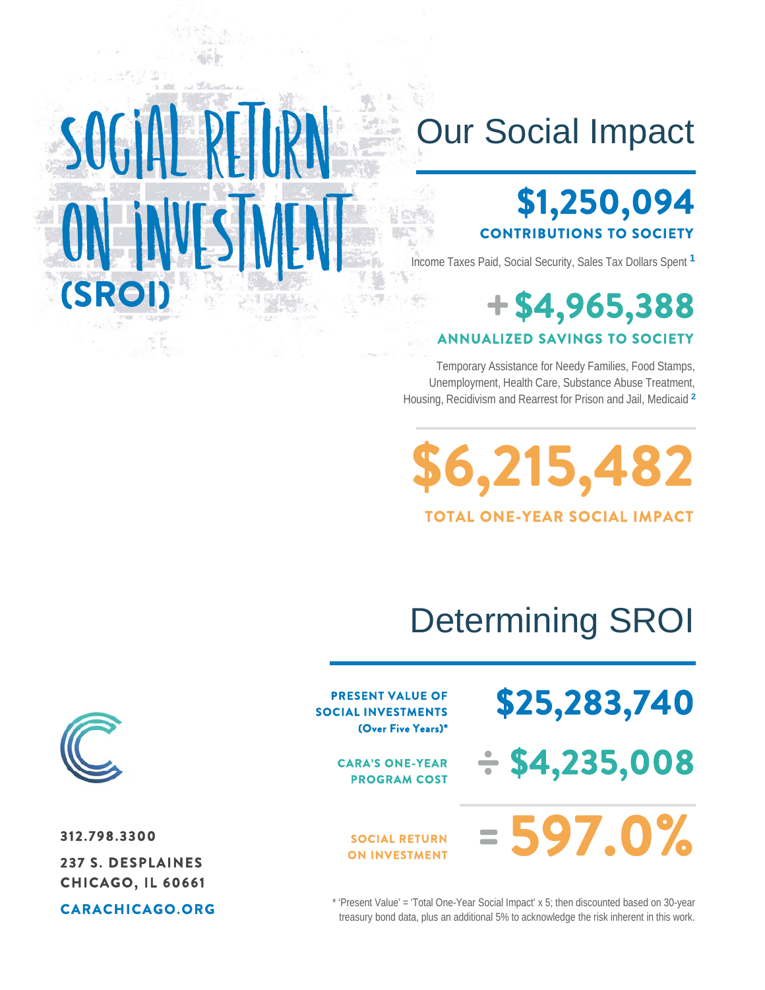## Our Social Impact

## **\$1,250,094 CONTRIBUTIONS TO SOCIETY**

Income Taxes Paid, Social Security, Sales Tax Dollars Spent **<sup>1</sup>**

## **+\$4,965,388 ANNUALIZED SAVINGS TO SOCIETY**

Temporary Assistance for Needy Families, Food Stamps, Unemployment, Health Care, Substance Abuse Treatment, Housing, Recidivism and Rearrest for Prison and Jail, Medicaid **<sup>2</sup>**

**\$6,215,482 TOTAL ONE-YEAR SOCIAL IMPACT**

# Determining SROI

**\$25,283,740**

**÷ \$4,235,008**

**PRESENT VALUE OF SOCIAL INVESTMENTS (Over Five Years)\***

> **CARA'S ONE-YEAR PROGRAM COST**

#### **SOCIAL RETURN ON INVESTMENT**

**597.0% =**



**(SROI)**

**312.798.3300 237 S. DESPLAINES CHICAGO, IL 60661**

SOGIAH RETURN

on investment

**CARACHICAGO.ORG**

\* 'Present Value' = 'Total One-Year Social Impact' x 5; then discounted based on 30-year treasury bond data, plus an additional 5% to acknowledge the risk inherent in this work.